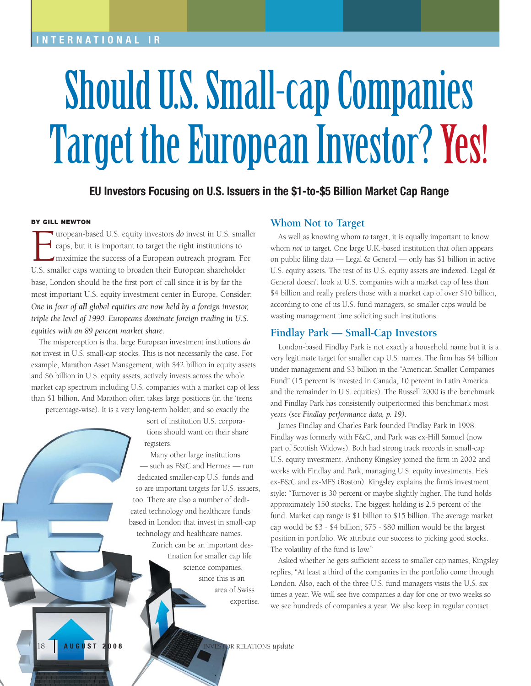## **INTERNATIONAL IR**

# Should U.S. Small-cap Companies Target the European Investor? Yes!

**EU Investors Focusing on U.S. Issuers in the \$1-to-\$5 Billion Market Cap Range**

#### **BY GILL NEWTON**

uropean-based U.S. equity investors *do* invest in U.S. smaller caps, but it is important to target the right institutions to maximize the success of a European outreach program. For U.S. smaller caps wanting to broaden their European shareholder base, London should be the first port of call since it is by far the most important U.S. equity investment center in Europe. Consider: *One in four of all global equities are now held by a foreign investor, triple the level of 1990. Europeans dominate foreign trading in U.S. equities with an 89 percent market share.* 

The misperception is that large European investment institutions *do not* invest in U.S. small-cap stocks. This is not necessarily the case. For example, Marathon Asset Management, with \$42 billion in equity assets and \$6 billion in U.S. equity assets, actively invests across the whole market cap spectrum including U.S. companies with a market cap of less than \$1 billion. And Marathon often takes large positions (in the 'teens percentage-wise). It is a very long-term holder, and so exactly the

sort of institution U.S. corporations should want on their share registers.

Many other large institutions — such as F&C and Hermes — run dedicated smaller-cap U.S. funds and so are important targets for U.S. issuers, too. There are also a number of dedicated technology and healthcare funds based in London that invest in small-cap technology and healthcare names.

> Zurich can be an important destination for smaller cap life science companies, since this is an area of Swiss expertise.

#### **Whom Not to Target**

As well as knowing whom *to* target, it is equally important to know whom *not* to target*.* One large U.K.-based institution that often appears on public filing data — Legal & General — only has \$1 billion in active U.S. equity assets. The rest of its U.S. equity assets are indexed. Legal & General doesn't look at U.S. companies with a market cap of less than \$4 billion and really prefers those with a market cap of over \$10 billion, according to one of its U.S. fund managers, so smaller caps would be wasting management time soliciting such institutions.

#### **Findlay Park — Small-Cap Investors**

London-based Findlay Park is not exactly a household name but it is a very legitimate target for smaller cap U.S. names. The firm has \$4 billion under management and \$3 billion in the "American Smaller Companies Fund" (15 percent is invested in Canada, 10 percent in Latin America and the remainder in U.S. equities). The Russell 2000 is the benchmark and Findlay Park has consistently outperformed this benchmark most years *(see Findlay performance data, p. 19).* 

James Findlay and Charles Park founded Findlay Park in 1998. Findlay was formerly with F&C, and Park was ex-Hill Samuel (now part of Scottish Widows). Both had strong track records in small-cap U.S. equity investment. Anthony Kingsley joined the firm in 2002 and works with Findlay and Park, managing U.S. equity investments. He's ex-F&C and ex-MFS (Boston). Kingsley explains the firm's investment style: "Turnover is 30 percent or maybe slightly higher. The fund holds approximately 150 stocks. The biggest holding is 2.5 percent of the fund. Market cap range is \$1 billion to \$15 billion. The average market cap would be \$3 - \$4 billion; \$75 - \$80 million would be the largest position in portfolio. We attribute our success to picking good stocks. The volatility of the fund is low."

Asked whether he gets sufficient access to smaller cap names, Kingsley replies, "At least a third of the companies in the portfolio come through London. Also, each of the three U.S. fund managers visits the U.S. six times a year. We will see five companies a day for one or two weeks so we see hundreds of companies a year. We also keep in regular contact

18 **AUGUST 2008** INVESTOR RELATIONS *update*